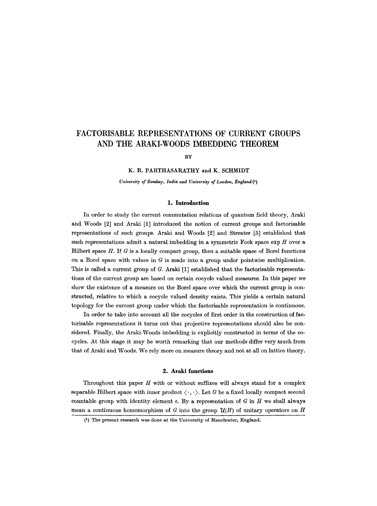# **FACTORISABLE REPRESENTATIONS OF CURRENT GROUPS AND THE ARAKI-WOODS IMBEDDING THEOREM**

BY

### **K. R. PARTHASARATHY and K. SCHMIDT**

*University of Bombay, India and University of London, England (1)* 

### **1.** Introduction

In order to study the current commutation relations of quantum field theory, Araki and Woods [2] and Araki [1] introduced the notion of current groups and factorisable representations of such groups. Araki and Woods [2] and Streater [5] estabhshed that such representations admit a natural imbedding in a symmetric Fock space  $\exp H$  over a Hilbert space H. If  $G$  is a locally compact group, then a suitable space of Borel functions on a Borel space with values in  $G$  is made into a group under pointwise multiplication. This is called a current group of G. Araki [1] established that the factorisable representations of the current group are based on certain coeycle valued measures. In this paper we show the existence of a measure on the Borel space over which the current group is constructed, relative to which a coeycle valued density exists. This yields a certain natural topology for the current group under which the faetorisable representation is continuous.

In order to take into account all the cocycles of first order in the construction of factorisable representations it turns out that projective representations should also be considered. Finally, the Araki-Woods imbedding is expheitly constructed in terms of the cocycles. At this stage it may be worth remarking that our methods differ very much from that of Araki and Woods. We rely more on measure theory and not at all on lattice theory.

### **2. Araki functions**

Throughout this paper  $H$  with or without suffixes will always stand for a complex separable Hilbert space with inner product  $\langle \cdot, \cdot \rangle$ . Let G be a fixed locally compact second countable group with identity element  $e$ . By a representation of  $G$  in  $H$  we shall always mean a continuous homomorphism of G into the group  $\mathcal{U}(H)$  of unitary operators on H

<sup>(1)</sup> The present research was done at the University of Manchester, England.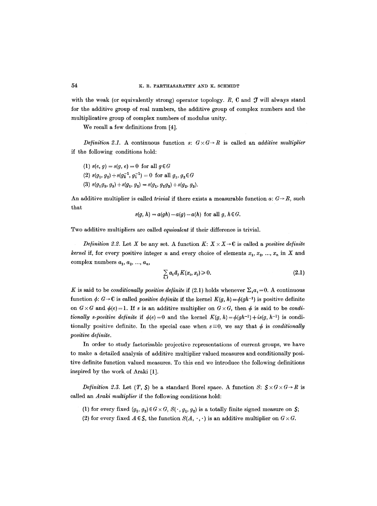with the weak (or equivalently strong) operator topology.  $R$ ,  $C$  and  $J$  will always stand for the additive group of real numbers, the additive group of complex numbers and the multiplicative group of complex numbers of modulus unity.

We recall a few definitions from [4].

*Definition 2.1.* A continuous function  $s: G \times G \rightarrow R$  is called an *additive multiplier* if the following conditions hold:

(1) 
$$
s(e, g) = s(g, e) = 0
$$
 for all  $g \in G$   
(2)  $s(g_1, g_2) + s(g_2^{-1}, g_1^{-1}) = 0$  for all  $g_1, g_2 \in G$   
(3)  $s(g_1g_2, g_3) + s(g_1, g_2) = s(g_1, g_2g_3) + s(g_2, g_3)$ .

An additive multiplier is called *trivial* if there exists a measurable function  $a: G \rightarrow R$ , such that

$$
s(g, h) = a(gh) - a(g) - a(h)
$$
 for all g,  $h \in G$ .

Two additive multipliers are called *equivalent* if their difference is trivial.

*Definition 2.2.* Let X be any set. A function  $K: X \times X \rightarrow \mathbb{C}$  is called a *positive definite kernel* if, for every positive integer *n* and every choice of elements  $x_1, x_2, ..., x_n$  in X and complex numbers  $a_1, a_2, ..., a_n$ ,

$$
\sum_{i,j} a_i \bar{a}_j K(x_i, x_j) \geqslant 0. \tag{2.1}
$$

K is said to be *conditionally positive definite* if (2.1) holds whenever  $\Sigma_i a_i = 0$ . A continuous function  $\phi$ :  $G \rightarrow \mathbb{C}$  is called *positive definite* if the kernel  $K(q, h) = \phi(qh^{-1})$  is positive definite on  $G \times G$  and  $\phi(e) = 1$ . If s is an additive multiplier on  $G \times G$ , then  $\phi$  is said to be *conditionally s-positive definite* if  $\phi(e) = 0$  and the kernel  $K(q, h) = \phi(qh^{-1}) + i s(q, h^{-1})$  is conditionally positive definite. In the special case when  $s \equiv 0$ , we say that  $\phi$  is *conditionally*  $positive$  *definite.* 

In order to study factorisable projective representations of current groups, we have to make a detailed analysis of additive multiplier valued measures and conditionally positive definite function valued measures. To this end we introduce the following definitions inspired by the work of Araki [1].

*Definition 2.3.* Let  $(T, S)$  be a standard Borel space. A function S:  $S \times G \times G \rightarrow R$  is called an *Araki multiplier if* the following conditions hold:

- (1) for every fixed  $(g_1, g_2) \in G \times G$ ,  $S(\cdot, g_1, g_2)$  is a totally finite signed measure on  $S$ ;
- (2) for every fixed  $A \in \mathcal{S}$ , the function  $S(A, \cdot, \cdot)$  is an additive multiplier on  $G \times G$ .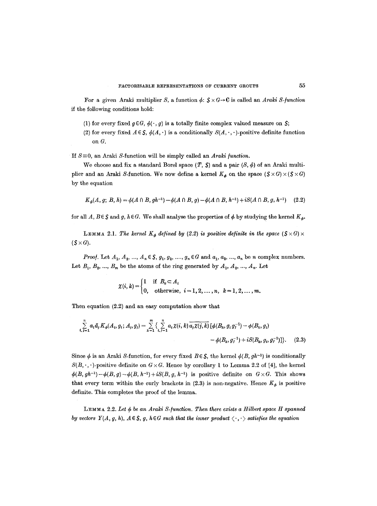For a given Araki multiplier S, a function  $\phi: S \times G \rightarrow \mathbb{C}$  is called an *Araki S-function* if the following conditions hold:

(1) for every fixed  $g \in G$ ,  $\phi(\cdot, g)$  is a totally finite complex valued measure on S;

(2) for every fixed  $A \in S$ ,  $\phi(A, \cdot)$  is a conditionally  $S(A, \cdot, \cdot)$ -positive definite function on G.

If  $S \equiv 0$ , an Araki S-function will be simply called an *Araki function*.

We choose and fix a standard Borel space  $(T, S)$  and a pair  $(S, \phi)$  of an Araki multiplier and an Araki S-function. We now define a kernel  $K_{\phi}$  on the space  $(S \times G) \times (S \times G)$ by the equation

$$
K_{\phi}(A, g; B, h) = \phi(A \cap B, gh^{-1}) - \phi(A \cap B, g) - \phi(A \cap B, h^{-1}) + iS(A \cap B, g, h^{-1}) \tag{2.2}
$$

for all *A*,  $B \in \mathcal{S}$  and g,  $h \in G$ . We shall analyse the properties of  $\phi$  by studying the kernel  $K_d$ .

**LEMMA 2.1.** The kernel  $K_{\phi}$  defined by (2.2) is positive definite in the space ( $S \times G$ )  $\times$  $(S\times G)$ .

*Proof.* Let  $A_1, A_2, ..., A_n \in S$ ,  $g_1, g_2, ..., g_n \in G$  and  $a_1, a_2, ..., a_n$  be n complex numbers. Let  $B_1, B_2, ..., B_m$  be the atoms of the ring generated by  $A_1, A_2, ..., A_n$ . Let

$$
\chi(i,k) = \begin{cases} 1 & \text{if } B_k \subset A_i \\ 0, & \text{otherwise, } i = 1, 2, \dots, n, \quad k = 1, 2, \dots, m. \end{cases}
$$

Then equation (2.2) and an easy computation show that

$$
\sum_{i,j=1}^{n} a_i \bar{a}_j K_{\phi}(A_i, g_i; A_j, g_j) = \sum_{k=1}^{m} \left\{ \sum_{i,j=1}^{n} a_i \chi(i,k) \overline{a_j \chi(j,k)} \left[ \phi(B_k, g_i g_j^{-1}) - \phi(B_k, g_i) \right. \right. \\ \left. \left. - \phi(B_k, g_j^{-1}) + i S(B_k, g_i, g_j^{-1}) \right] \right\}. \tag{2.3}
$$

Since  $\phi$  is an Araki S-function, for every fixed  $B \in S$ , the kernel  $\phi(B, gh^{-1})$  is conditionally  $S(B,\cdot,\cdot)$ -positive definite on  $G \times G$ . Hence by corollary 1 to Lemma 2.2 of [4], the kernel  $\phi(B, gh^{-1}) - \phi(B, g) - \phi(B, h^{-1}) + iS(B, g, h^{-1})$  is positive definite on  $G \times G$ . This shows that every term within the curly brackets in (2.3) is non-negative. Hence  $K_{\phi}$  is positive definite. This completes the proof of the lemma.

LEMMA 2.2. Let  $\phi$  be an Araki S-function. Then there exists a Hilbert space H spanned *by vectors Y(A, g, h), A*  $\in$  *S, g, h* $\in$ *G such that the inner product*  $\langle \cdot, \cdot \rangle$  *satisfies the equation*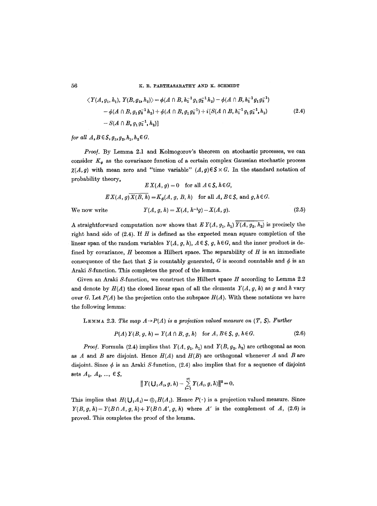56 K.R. PARTHASARATHY AND K. SCHMIDT

$$
\langle Y(A, g_1, h_1), Y(B, g_2, h_2) \rangle = \phi(A \cap B, h_1^{-1} g_1 g_2^{-1} h_2) - \phi(A \cap B, h_1^{-1} g_1 g_2^{-1})
$$
  

$$
-\phi(A \cap B, g_1 g_2^{-1} h_2) + \phi(A \cap B, g_1 g_2^{-1}) + i [S(A \cap B, h_1^{-1} g_1 g_2^{-1}, h_2)
$$
  

$$
-S(A \cap B, g_1 g_2^{-1}, h_2)]
$$
 (2.4)

*<i>for all*  $A, B \in S, g_1, g_2, h_1, h_2 \in G$ .

*Proof.* By Lemma 2.1 and Kolmogorov's theorem on stochastic processes, we can consider  $K_{\phi}$  as the covariance function of a certain complex Gaussian stochastic process  $\chi(A,g)$  with mean zero and "time variable"  $(A,g)\in S\times G$ . In the standard notation of probability theory,  $E(Y(A_n) = 0$ ,  $f_{\text{cm}} = 0$ ,  $A \in S$ ,  $I \in C$ 

$$
EX(A, g) = 0 \quad \text{for all } A \in S, h \in G,
$$
  

$$
EX(A, g) \overline{X(B, h)} = K_{\phi}(A, g, B, h) \quad \text{for all } A, B \in S, \text{ and } g, h \in G.
$$
  
We now write 
$$
Y(A, g, h) = X(A, h^{-1}g) - X(A, g).
$$
 (2.5)

A straightforward computation now shows that  $E Y(A, q_1, h_1) \overline{Y(A, q_2, h_2)}$  is precisely the right hand side of  $(2.4)$ . If H is defined as the expected mean square completion of the linear span of the random variables  $Y(A, g, h)$ ,  $A \in S$ ,  $g, h \in G$ , and the inner product is defined by covariance,  $H$  becomes a Hilbert space. The separability of  $H$  is an immediate consequence of the fact that  $S$  is countably generated, G is second countable and  $\phi$  is an Araki S-function. This completes the proof of the lemma.

Given an Araki S-function, we construct the Hilbert space  $H$  according to Lemma 2.2 and denote by  $H(A)$  the closed linear span of all the elements  $Y(A, g, h)$  as g and h vary over G. Let  $P(A)$  be the projection onto the subspace  $H(A)$ . With these notations we have the following lemma:

LEMMA 2.3. *The map A* $\rightarrow$ P(A) is a projection valued measure on (T, S). Further

$$
P(A) Y(B, g, h) = Y(A \cap B, g, h) \quad \text{for } A, B \in \mathcal{S}, g, h \in G. \tag{2.6}
$$

*Proof.* Formula (2.4) implies that  $Y(A, g_1, h_1)$  and  $Y(B, g_2, h_2)$  are orthogonal as soon as  $A$  and  $B$  are disjoint. Hence  $H(A)$  and  $H(B)$  are orthogonal whenever  $A$  and  $B$  are disjoint. Since  $\phi$  is an Araki S-function, (2.4) also implies that for a sequence of disjoint sets  $A_1, A_2, ..., \in S$ ,

$$
|| Y(\bigcup_i A_i, g, h) - \sum_{i=1}^{\infty} Y(A_i, g, h) ||^2 = 0.
$$

This implies that  $H(\bigcup_i A_i) = \bigoplus_i H(A_i)$ . Hence  $P(\cdot)$  is a projection valued measure. Since  $Y(B, g, h) = Y(B \cap A, g, h) + Y(B \cap A', g, h)$  where A' is the complement of A, (2.6) is proved. This completes the proof of the lemma.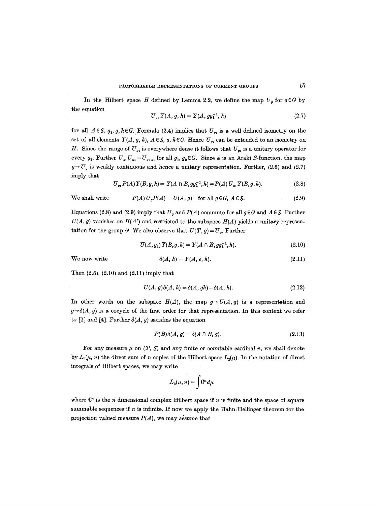In the Hilbert space H defined by Lemma 2.2, we define the map  $U_q$  for  $q \in G$  by the equation

$$
U_{g_1} Y(A, g, h) = Y(A, g g_1^{-1}, h) \tag{2.7}
$$

for all  $A \in S$ ,  $g_1, g, h \in G$ . Formula (2.4) implies that  $U_{g_1}$  is a well defined isometry on the set of all elements  $Y(A, g, h)$ ,  $A \in S$ , g,  $h \in G$ . Hence  $U_{g_1}$  can be extended to an isometry on H. Since the range of  $U_{g_1}$  is everywhere dense it follows that  $U_{g_1}$  is a unitary operator for every  $g_1$ . Further  $U_{g_1}U_{g_2}=U_{g_1g_2}$  for all  $g_1, g_2 \in G$ . Since  $\phi$  is an Araki S-function, the map  $g \rightarrow U<sub>g</sub>$  is weakly continuous and hence a unitary representation. Further, (2.6) and (2.7) imply that

$$
U_{g_1} P(A) Y(B, g, h) = Y(A \cap B, g g_1^{-1}, h) = P(A) U_{g_1} Y(B, g, h).
$$
 (2.8)

We shall write

$$
P(A) Ua P(A) = U(A, g) \text{ for all } g \in G, A \in \mathcal{S}.
$$
 (2.9)

Equations (2.8) and (2.9) imply that  $U_q$  and  $P(A)$  commute for all  $q \in G$  and  $A \in \mathcal{S}$ . Further  $U(A, g)$  vanishes on  $H(A')$  and restricted to the subspace  $H(A)$  yields a unitary representation for the group G. We also observe that  $U(T, g) = U_g$ . Further

$$
U(A, g_1) Y(B, g, h) = Y(A \cap B, g g_1^{-1}, h).
$$
\n(2.10)

We now write

$$
\delta(A,h) = Y(A,e,h). \tag{2.11}
$$

Then (2.5), (2.10) and (2.11) imply that

$$
U(A, g)\delta(A, h) = \delta(A, gh) - \delta(A, h). \tag{2.12}
$$

In other words on the subspace  $H(A)$ , the map  $g \rightarrow U(A, g)$  is a representation and  $g \rightarrow \delta(A, g)$  is a cocycle of the first order for that representation. In this context we refer to [1] and [4]. Further  $\delta(A, g)$  satisfies the equation

$$
P(B)\delta(A,g) = \delta(A \cap B, g). \tag{2.13}
$$

For any measure  $\mu$  on  $(T, S)$  and any finite or countable cardinal *n*, we shall denote by  $L_2(\mu, n)$  the direct sum of n copies of the Hilbert space  $L_2(\mu)$ . In the notation of direct integrals of Hilbert spaces, we may write

$$
L_2(\mu,n)=\int \! \mathbf{C}^n d\mu
$$

where  $\mathbb{C}^n$  is the *n* dimensional complex Hilbert space if *n* is finite and the space of square summable sequences if  $n$  is infinite. If now we apply the Hahn-Hellinger theorem for the projection valued measure  $P(A)$ , we may assume that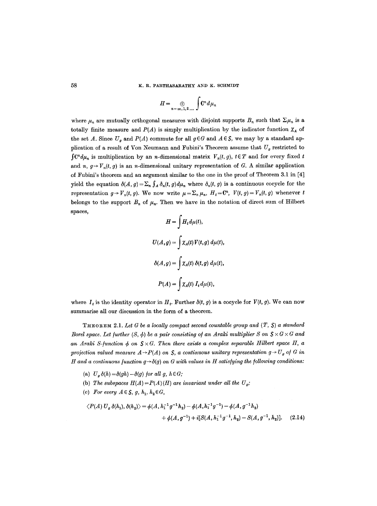58 K. R. PARTHASARATHY AND K. SCHMIDT

$$
H=\bigoplus_{n=\infty,1,2,...}\int\mathbf{C}^n d\mu_n
$$

where  $\mu_n$  are mutually orthogonal measures with disjoint supports  $B_n$  such that  $\Sigma \mu_n$  is a totally finite measure and  $P(A)$  is simply multiplication by the indicator function  $\chi_A$  of the set A. Since  $U_q$  and  $P(A)$  commute for all  $q \in G$  and  $A \in S$ , we may by a standard application of a result of Von Neumann and Fubini's Theorem assume that  $U_g$  restricted to  $\int \mathbb{C}^n d\mu_n$  is multiplication by an *n*-dimensional matrix  $V_n(t, g)$ ,  $t \in T$  and for every fixed t and *n, g*  $\rightarrow$   $V_n(t, g)$  is an *n*-dimensional unitary representation of G. A similar application of Fubini's theorem and an argument similar to the one in the proof of Theorem 3.1 in [4] yield the equation  $\delta(A, g) = \sum_n \int_A \delta_n(t, g) d\mu_n$  where  $\delta_n(t, g)$  is a continuous cocycle for the representation  $g \rightarrow V_n(t, g)$ . We now write  $\mu = \sum_n \mu_n$ ,  $H_t = \mathbb{C}^n$ ,  $V(t, g) = V_n(t, g)$  whenever t belongs to the support  $B_n$  of  $\mu_n$ . Then we have in the notation of direct sum of Hilbert spaces,

$$
H = \int H_t d\mu(t),
$$
  

$$
U(A,g) = \int \chi_A(t) V(t,g) d\mu(t),
$$
  

$$
\delta(A,g) = \int \chi_A(t) \delta(t,g) d\mu(t),
$$
  

$$
P(A) = \int \chi_A(t) I_t d\mu(t),
$$

where  $I_t$  is the identity operator in  $H_t$ . Further  $\delta(t, g)$  is a cocycle for  $V(t, g)$ . We can now summarise all our discussion in the form of a theorem.

THEOREM 2.1. Let G be a locally compact second countable group and  $(T, S)$  a standard *Borel space. Let further*  $(S, \phi)$  *be a pair consisting of an Araki multiplier* S on  $S \times G \times G$  and an Araki S-function  $\phi$  on  $S \times G$ . Then there exists a complex separable Hilbert space H, a projection valued measure  $A \rightarrow P(A)$  on  $S$ , a continuous unitary representation  $g \rightarrow U_g$  of  $G$  in *H* and a continuous function  $g \rightarrow \delta(g)$  on G with values in H satisfying the following conditions:

- (a)  $U_q \delta(h) = \delta(qh) \delta(q)$  for all g,  $h \in G$ ;
- (b) *The subspaces*  $H(A) = P(A)(H)$  are invariant under all the  $U_q$ ;
- (c) For every  $A \in S$ , g,  $h_1, h_2 \in G$ ,

$$
\langle P(A) U_g \, \delta(h_1), \, \delta(h_2) \rangle = \phi(A, h_1^{-1} g^{-1} h_2) - \phi(A, h_1^{-1} g^{-1}) - \phi(A, g^{-1} h_2) + \phi(A, g^{-1}) + i[S(A, h_1^{-1} g^{-1}, h_2) - S(A, g^{-1}, h_2)]. \tag{2.14}
$$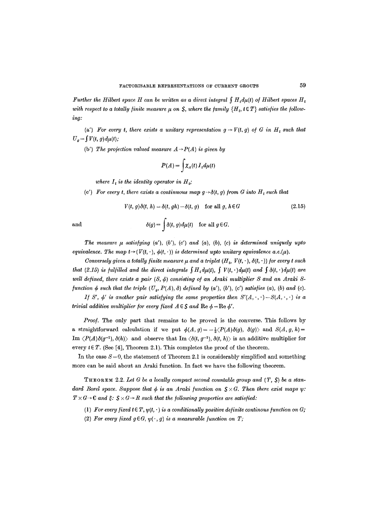*Further the Hilbert space H can be written as a direct integral*  $\int H_t d\mu(t)$  of Hilbert spaces  $H_t$ with respect to a totally finite measure  $\mu$  on S, where the family  $\{H_t, t \in T\}$  satisfies the follow*ing:* 

(a') For every t, there exists a unitary representation  $g \rightarrow V(t, g)$  of G in  $H_t$  such that  $U_g=\int V(t, g)d\mu(t);$ 

(b') The projection valued measure  $A \rightarrow P(A)$  is given by

$$
P(A) = \int \chi_A(t) \, I_t \, d\mu(t)
$$

*where*  $I_t$  *is the identity operator in*  $H_t$ ;

(c') For every t, there exists a continuous map  $g \rightarrow \delta(t, g)$  from G into  $H_t$  such that

$$
V(t, g)\delta(t, h) = \delta(t, gh) - \delta(t, g) \quad \text{for all } g, h \in G \tag{2.15}
$$

and 
$$
\delta(g) = \int \delta(t, g) d\mu(t) \text{ for all } g \in G.
$$

The measure  $\mu$  satisfying  $(a')$ ,  $(b')$ ,  $(c')$  and  $(a)$ ,  $(b)$ ,  $(c)$  is determined uniquely upto *equivalence. The map t*  $\rightarrow$  ( $V(t, \cdot)$ ,  $\phi(t, \cdot)$ ) *is determined upto unitary equivalence a.e.*( $\mu$ ).

*Conversely given a totally finite measure*  $\mu$  *and a triplet*  $(H_t, V(t, \cdot), \delta(t, \cdot))$  *for every t such that (2.15) is fulfilled and the direct integrals*  $\int H_t d\mu(t)$ *,*  $\int V(t, \cdot) d\mu(t)$  *and*  $\int \delta(t, \cdot) d\mu(t)$  *are well defined, there exists a pair*  $(S, \phi)$  *consisting of an Araki multiplier S and an Araki Sfunction*  $\phi$  *such that the triple*  $(U_o, P(A), \delta)$  *defined by (a'), (b'), (c') satisfies (a), (b) and (c).* 

*If* S',  $\phi'$  is another pair satisfying the same properties then  $S'(A, \cdot, \cdot) - S(A, \cdot, \cdot)$  is a *trivial additive multiplier for every fixed*  $A \in S$  *and*  $\text{Re } \phi = \text{Re } \phi'$ .

*Proo/.* The only part that remains to be proved is the converse. This follows by a straightforward calculation if we put  $\phi(A, g) = -\frac{1}{2} \langle P(A) \delta(g), \delta(g) \rangle$  and  $S(A, g, h) =$ Im  $\langle P(A)\delta(q^{-1}), \delta(h)\rangle$  and observe that Im  $\langle \delta(t, g^{-1}), \delta(t, h)\rangle$  is an additive multiplier for every  $t \in T$ . (See [4], Theorem 2.1). This completes the proof of the theorem.

In the case  $S = 0$ , the statement of Theorem 2.1 is considerably simplified and something more can be said about an Araki function. In fact we have the following theorem.

THEOREM 2.2. Let  $G$  be a locally compact second countable group and  $(T, S)$  be a stan*dard Borel space. Suppose that*  $\phi$  *is an Araki function on*  $S \times G$ *. Then there exist maps w:*  $T \times G \rightarrow \mathbb{C}$  and  $\xi \colon \mathcal{S} \times G \rightarrow R$  such that the following properties are satisfied:

- (1) For every fixed  $t \in T$ ,  $\psi(t, \cdot)$  is a conditionally positive definite continous function on G;
- (2) For every fixed  $g \in G$ ,  $\psi(\cdot, g)$  is a measurable function on T;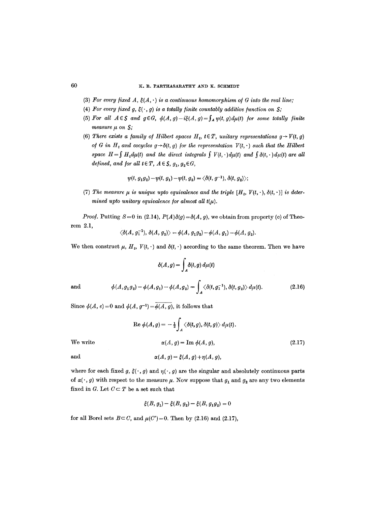## 60 K. R. PARTHASARATHY AND K. SCHMIDT

- (3) For every fixed  $A, \xi(A, \cdot)$  is a continuous homomorphism of G into the real line;
- (4) For every fixed g,  $\xi(\cdot, g)$  is a totally finite countably additive function on  $S$ ;
- (5) For all  $A \in S$  and  $g \in G$ ,  $\phi(A, g) i\xi(A, g) = \int_A \psi(t, g) d\mu(t)$  for some totally finite *measure*  $\mu$  on  $\mathsf{S}$ ;
- (6) There exists a family of Hilbert spaces  $H_t$ ,  $t \in T$ , unitary representations  $g \rightarrow V(t, g)$ *of* G in  $H_t$  and cocycles  $g \rightarrow \delta(t, g)$  for the representation  $V(t, \cdot)$  such that the Hilbert *space H*= $\int H_t d\mu(t)$  and the direct integrals  $\int V(t, \cdot) d\mu(t)$  and  $\int \delta(t, \cdot) d\mu(t)$  are all *defined, and for all t* $\in$ *T*, *A* $\in$ *S*, *g*<sub>1</sub>, *g*<sub>2</sub> $\in$ *G*,

$$
\psi(t, g_1g_2) - \psi(t, g_1) - \psi(t, g_2) = \langle \delta(t, g^{-1}), \delta(t, g_2) \rangle;
$$

(7) The measure  $\mu$  is unique upto equivalence and the triple  $[H_t, V(t, \cdot), \delta(t, \cdot)]$  is deter*mined upto unitary equivalence for almost all*  $t(\mu)$ *.* 

*Proof.* Putting  $S = 0$  in (2.14),  $P(A)\delta(g) = \delta(A, g)$ , we obtain from property (c) of Theorem 2.1,

$$
\langle \delta(A, g_1^{-1}), \, \delta(A, g_2) \rangle = \phi(A, g_1 g_2) - \phi(A, g_1) - \phi(A, g_2).
$$

We then construct  $\mu$ ,  $H_t$ ,  $V(t, \cdot)$  and  $\delta(t, \cdot)$  according to the same theorem. Then we have

$$
\delta(A,g) = \int_A \delta(t,g) \, d\mu(t)
$$

and 
$$
\phi(A,g_1g_2) - \phi(A,g_1) - \phi(A,g_2) = \int_A \langle \delta(t,g_1^{-1}), \delta(t,g_2) \rangle d\mu(t).
$$
 (2.16)

Since  $\phi(A, e) = 0$  and  $\phi(A, g^{-1}) = \phi(A, g)$ , it follows that

$$
\text{Re } \phi(A, g) = -\frac{1}{2} \int_A \langle \delta(t, g), \delta(t, g) \rangle d\mu(t).
$$
\n
$$
\text{We write} \qquad \alpha(A, g) = \text{Im } \phi(A, g),
$$
\n
$$
\alpha(A, g) = \xi(A, g) + \eta(A, g),
$$
\n
$$
(2.17)
$$

where for each fixed g,  $\xi(\cdot, g)$  and  $\eta(\cdot, g)$  are the singular and absolutely continuous parts of  $\alpha(\cdot, g)$  with respect to the measure  $\mu$ . Now suppose that  $g_1$  and  $g_2$  are any two elements fixed in G. Let  $C \subset T$  be a set such that

$$
\xi(B, g_1) - \xi(B, g_2) - \xi(B, g_1 g_2) = 0
$$

for all Borel sets  $B \subset C$ , and  $\mu(C')=0$ . Then by (2.16) and (2.17),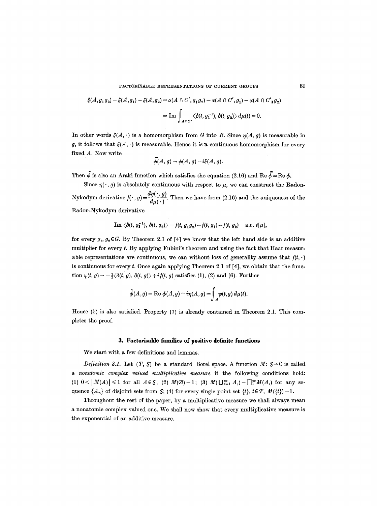FACTORISABLE REPRESENTATIONS OF CURRENT GROUPS 61

$$
\xi(A,g_1g_2) - \xi(A,g_1) - \xi(A,g_2) = \alpha(A \cap C', g_1g_2) - \alpha(A \cap C', g_1) - \alpha(A \cap C', g_2)
$$
  
= Im  $\int_{A \cap C'} \langle \delta(t, g_1^{-1}), \delta(t, g_2) \rangle d\mu(t) = 0.$ 

In other words  $\xi(A, \cdot)$  is a homomorphism from G into R. Since  $\eta(A, g)$  is measurable in g, it follows that  $\xi(A, \cdot)$  is measurable. Hence it is a continuous homomorphism for every fixed A. Now write

$$
\phi(A,g)=\phi(A,g)-i\xi(A,g).
$$

Then  $\tilde{\phi}$  is also an Araki function which satisfies the equation (2.16) and Re  $\tilde{\phi} = \text{Re }\phi$ .

Since  $\eta(\cdot, g)$  is absolutely continuous with respect to  $\mu$ , we can construct the Radon-Nykodym derivative  $f(\cdot, g) = \frac{d\eta(\cdot, g)}{d\mu(\cdot)}$ . Then we have from (2.16) and the uniqueness of the Radon-Nykodym derivative

Im 
$$
\langle \delta(t, g_1^{-1}), \delta(t, g_2) \rangle = f(t, g_1 g_2) - f(t, g_1) - f(t, g_2)
$$
 a.e.  $t[\mu]$ ,

for every  $g_1, g_2 \in G$ . By Theorem 2.1 of [4] we know that the left hand side is an additive multiplier for every  $t$ . By applying Fubini's theorem and using the fact that Haar measurable representations are continuous, we can without loss of generality assume that  $f(t, \cdot)$ is continuous for every  $t$ . Once again applying Theorem 2.1 of [4], we obtain that the function  $\psi(t, g) = -\frac{1}{2} \langle \delta(t, g), \delta(t, g) \rangle + i f(t, g)$  satisfies (1), (2) and (6). Further

$$
\widetilde{\phi}(A,g) = \text{Re }\phi(A,g) + i\eta(A,g) = \int_A \psi(t,g) d\mu(t).
$$

Hence (5) is also satisfied. Property (7) is already contained in Theorem 2.1. This completes the proof.

### 3. Factorisable families of **positive definite functions**

We start with a few definitions and lemmas.

*Definition 3.1.* Let  $(T, S)$  be a standard Borel space. A function M:  $S \rightarrow C$  is called *a nonatomic complex valued multiplicative measure* if the following conditions hold:  $(1) \; 0 < |M(A)| \leq 1$  for all  $A \in S$ ; (2)  $M(\emptyset) = 1$ ; (3)  $M(\bigcup_{i=1}^{\infty} A_i) = \prod_{i=1}^{\infty} M(A_i)$  for any sequence  $\{A_n\}$  of disjoint sets from  $S$ ; (4) for every single point set  $\{t\}$ ,  $t \in T$ ,  $M(\{t\})=1$ .

Throughout the rest of the paper, by a multiplicative measure we shall always mean a nonatomic complex valued one. We shall now show that every multiplieative measure is the exponential of an additive measure.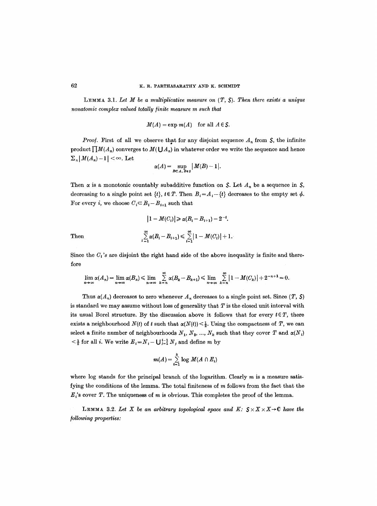LEMMA 3.1. Let  $M$  be a multiplicative measure on  $(T, S)$ . Then there exists a unique *nonatomic complex valued totally/inite measure m such that* 

$$
M(A) = \exp m(A) \quad \text{for all } A \in S.
$$

*Proof.* First of all we observe that for any disjoint sequence  $A_n$  from  $S$ , the infinite product  $\prod M(A_n)$  converges to  $M(\bigcup A_n)$  in whatever order we write the sequence and hence  $\sum_{n} |M(A_{n})-1| < \infty$ . Let

$$
\alpha(A)=\sup_{B\subset A,\ B\in S}\big|\,M(B)-1\big|.
$$

Then  $\alpha$  is a monotonic countably subadditive function on *S*. Let  $A_n$  be a sequence in *S*, decreasing to a single point set  $\{t\}$ ,  $t \in T$ . Then  $B_i = A_i - \{t\}$  decreases to the empty set  $\phi$ . For every *i*, we choose  $C_i \subseteq B_i - B_{i+1}$  such that

$$
|1 - M(C_i)| \ge \alpha (B_i - B_{i+1}) - 2^{-i}.
$$
  

$$
\sum_{i=1}^{\infty} \alpha (B_i - B_{i+1}) \le \sum_{i=1}^{\infty} |1 - M(C_i)| + 1.
$$

Then

Since the  $C_i$ 's are disjoint the right hand side of the above inequality is finite and therefore

$$
\lim_{n\to\infty}\alpha(A_n)=\lim_{n\to\infty}\alpha(B_n)\leqslant \lim_{n\to\infty}\sum_{k=n}^{\infty}\alpha(B_k-B_{k+1})\leqslant \lim_{n\to\infty}\sum_{k=n}^{\infty}\left|1-M(C_k)\right|+2^{-n+1}=0.
$$

Thus  $\alpha(A_n)$  decreases to zero whenever  $A_n$  decreases to a single point set. Since  $(T, S)$ is standard we may assume without loss of generality that  $T$  is the closed unit interval with its usual Borel structure. By the discussion above it follows that for every  $t \in T$ , there exists a neighbourhood  $N(t)$  of t such that  $\alpha(N(t)) \leq \frac{1}{2}$ . Using the compactness of T, we can select a finite number of neighbourhoods  $N_1, N_2, ..., N_k$  such that they cover T and  $\alpha(N_i)$  $\leq \frac{1}{2}$  for all *i*. We write  $E_i = N_i - \bigcup_{j=1}^{i-1} N_j$  and define m by

$$
m(A) = \sum_{i=1}^k \log M(A \cap E_i)
$$

where  $log$  stands for the principal branch of the logarithm. Clearly  $m$  is a measure satisfying the conditions of the lemma. The total finiteness of m follows from the fact that the  $E<sub>i</sub>$ 's cover T. The uniqueness of m is obvious. This completes the proof of the lemma.

LEMMA 3.2. Let X be an arbitrary topological space and K:  $S \times X \times X \rightarrow C$  have the *]ollowing properties:*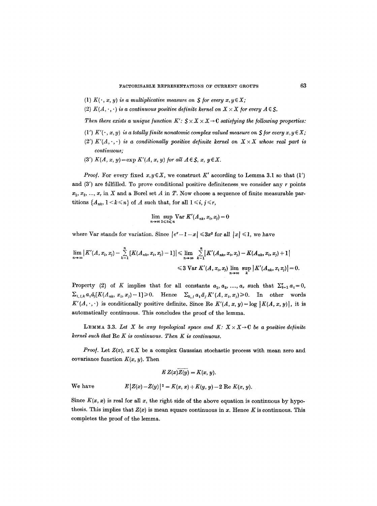- (1)  $K(\cdot, x, y)$  is a multiplicative measure on S for every  $x, y \in X$ ;
- (2)  $K(A, \cdot, \cdot)$  is a continuous positive definite kernel on  $X \times X$  for every  $A \in \mathcal{S}$ .

*Then there exists a unique function K':*  $S \times X \times X \rightarrow C$  *satisfying the following properties:* 

- (1')  $K'(\cdot, x, y)$  is a totally finite nonatomic complex valued measure on  $\mathcal S$  for every  $x, y \in X$ ;
- (2')  $K'(A, \cdot, \cdot)$  is a conditionally positive definite kernel on  $X \times X$  whose real part is *continuous;*
- (3')  $K(A, x, y) = \exp K'(A, x, y)$  for all  $A \in S$ ,  $x, y \in X$ .

*Proof.* For every fixed  $x, y \in X$ , we construct K' according to Lemma 3.1 so that (1') and  $(3')$  are fulfilled. To prove conditional positive definiteness we consider any  $r$  points  $x_1, x_2, ..., x_r$  in X and a Borel set A in T. Now choose a sequence of finite measurable partitions  $\{A_{nk}, 1 \le k \le n\}$  of A such that, for all  $1 \le i, j \le r$ ,

$$
\lim_{n\to\infty}\sup_{1\leq k\leq n}\operatorname{Var} K'(A_{nk},x_i,x_j)=0
$$

where Var stands for variation. Since  $|e^x-1-x| \leq 3x^2$  for all  $|x| \leq 1$ , we have

$$
\lim_{n\to\infty} |K'(A,x_i,x_j)-\sum_{k=1}^n [K(A_{nk},x_i,x_j)-1]| \leq \lim_{n\to\infty} \sum_{k=1}^n |K'(A_{nk},x_i,x_j)-K(A_{nk},x_i,x_j)+1|
$$
  
\n
$$
\leq 3 \text{Var } K'(A,x_i,x_j) \lim_{n\to\infty} \sup_{k} |K'(A_{nk},x_ix_j)|=0.
$$

Property (2) of K implies that for all constants  $a_1, a_2, ..., a_r$  such that  $\sum_{i=1}^r a_i = 0$ ,  $\sum_{i,j,k} a_i \bar{a}_j [K(A_{nk}, x_i, x_j) - 1] \ge 0$ . Hence  $\sum_{k,j} a_i \bar{a}_j K'(A, x_i, x_j) \ge 0$ . In other words  $K'(A, \cdot, \cdot)$  is conditionally positive definite. Since Re  $K'(A, x, y) = \log |K(A, x, y)|$ , it is automatically continuous. This concludes the proof of the lemma.

**LEMMA** 3.3. Let X be any topological space and K:  $X \times X \rightarrow C$  be a positive definite *kernel such that Re K is continuous. Then K is continuous.* 

*Proof.* Let  $Z(x)$ ,  $x \in X$  be a complex Gaussian stochastic process with mean zero and covariance function  $K(x, y)$ . Then

$$
E Z(x)Z(y)=K(x, y).
$$

We have  $E[Z(x)-Z(y)]^2 = K(x, x) + K(y, y) - 2 \text{ Re } K(x, y).$ 

Since  $K(x, x)$  is real for all x, the right side of the above equation is continuous by hypothesis. This implies that  $Z(x)$  is mean square continuous in x. Hence K is continuous. This completes the proof of the lemma.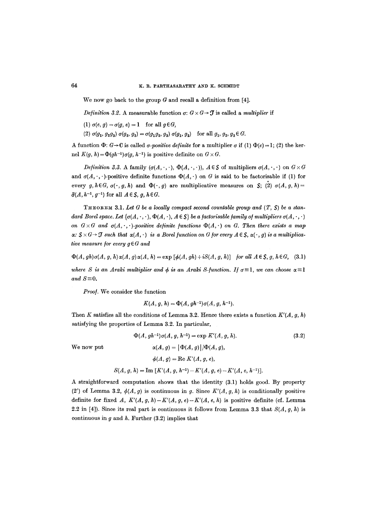We now go back to the group  $G$  and recall a definition from [4].

*Definition 3.2.* A measurable function  $\sigma: G \times G \rightarrow \mathcal{T}$  is called a *multiplier* if

(1) 
$$
\sigma(e, g) = \sigma(g, e) = 1
$$
 for all  $g \in G$ ,

(2)  $\sigma(g_1, g_2g_3)$   $\sigma(g_2, g_3) = \sigma(g_1g_2, g_3)$   $\sigma(g_1, g_2)$  for all  $g_1, g_2, g_3 \in G$ .

A function  $\Phi: G \to \mathbb{C}$  is called  $\sigma$ *-positive definite* for a multiplier  $\sigma$  if (1)  $\Phi(e) = 1$ ; (2) the kernel  $K(g, h) = \Phi(gh^{-1})\sigma(g, h^{-1})$  is positive definite on  $G \times G$ .

*Definition 3.3.* A family  $(\sigma(A, \cdot, \cdot), \Phi(A, \cdot, \cdot))$ ,  $A \in S$  of multipliers  $\sigma(A, \cdot, \cdot)$  on  $G \times G$ and  $\sigma(A,\cdot,\cdot)$ -positive definite functions  $\Phi(A,\cdot)$  on G is said to be factorisable if (1) for every  $g, h \in G$ ,  $\sigma(\cdot, g, h)$  and  $\Phi(\cdot, g)$  are multiplicative measures on S; (2)  $\sigma(A, g, h)$  =  $\bar{\sigma}(A, h^{-1}, g^{-1})$  for all  $A \in S$ , g,  $h \in G$ .

 $THEOREM 3.1. Let G be a locally compact second countable group and  $(T, S)$  be a stan$ *dard Borel space. Let*  $\{\sigma(A, \cdot, \cdot), \Phi(A, \cdot), A \in \mathcal{S}\}\$ be a factorisable family of multipliers  $\sigma(A, \cdot, \cdot)$ *on*  $G \times G$  and  $\sigma(A, \cdot, \cdot)$ -positive definite functions  $\Phi(A, \cdot)$  on G. Then there exists a map  $\alpha: S \times G \rightarrow \mathcal{J}$  such that  $\alpha(A, \cdot)$  is a Borel function on G for every  $A \in S$ ,  $\alpha(\cdot, g)$  is a multiplica*tive measure for every*  $g \in G$  *and* 

 $\Phi(A, gh)\sigma(A, g, h)\alpha(A, g)\alpha(A, h) = \exp [\phi(A, gh) + iS(A, g, h)]$  *for all A*  $\in$  *S*, *g*, *h* $\in$  *G*, (3.1)

*where S is an Araki multiplier and*  $\phi$  *is an Araki S-function. If*  $\sigma = 1$ *, we can choose*  $\alpha = 1$ and  $S=0$ .

*Proo/.* We consider the function

$$
K(A, g, h) = \Phi(A, gh^{-1})\sigma(A, g, h^{-1}).
$$

Then K satisfies all the conditions of Lemma 3.2. Hence there exists a function  $K'(A, g, h)$ satisfying the properties of Lemma 3.2. In particular,

 $\Phi(A, gh^{-1})\sigma(A, g, h^{-1}) = \exp K'(A, g, h).$  (3.2)

We now put  $\alpha(A, g) = |\Phi(A, g)|/\Phi(A, g),$  $\phi(A, g) = \text{Re } K'(A, g, e),$ 

$$
S(A, g, h) = \text{Im } [K'(A, g, h^{-1}) - K'(A, g, e) - K'(A, e, h^{-1})].
$$

A straightforward computation shows that the identity (3.1) holds good. By property (2') of Lemma 3.2,  $\phi(A, g)$  is continuous in g. Since  $K'(A, g, h)$  is conditionally positive definite for fixed A,  $K'(A, g, h) - K'(A, g, e) - K'(A, e, h)$  is positive definite (cf. Lemma 2.2 in [4]). Since its real part is continuous it follows from Lemma 3.3 that  $S(A, g, h)$  is continuous in  $g$  and  $h$ . Further (3.2) implies that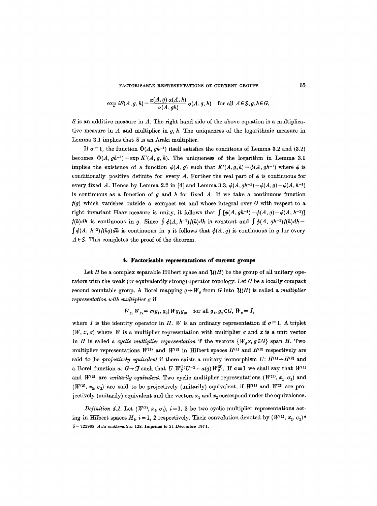FACTORISABLE REPRESENTATIONS OF CURRENT GROUPS 65

$$
\exp iS(A,g,h) = \frac{\alpha(A,g) \alpha(A,h)}{\alpha(A,gh)} \sigma(A,g,h) \quad \text{for all } A \in S, g,h \in G.
$$

S is an additive measure in A. The right hand side of the above equation is a multiplicative measure in  $A$  and multiplier in  $g$ ,  $h$ . The uniqueness of the logarithmic measure in Lemma 3.1 implies that  $S$  is an Araki multiplier.

If  $\sigma = 1$ , the function  $\Phi(A, gh^{-1})$  itself satisfies the conditions of Lemma 3.2 and (3.2) becomes  $\Phi(A, gh^{-1}) = \exp K'(A, g, h)$ . The uniqueness of the logarithm in Lemma 3.1 implies the existence of a function  $\phi(A, g)$  such that  $K'(A,g,h)=\phi(A,gh^{-1})$  where  $\phi$  is conditionally positive definite for every A. Further the real part of  $\phi$  is continuous for every fixed A. Hence by Lemma 2.2 in [4] and Lemma 3.3,  $\phi(A, gh^{-1}) - \phi(A, g) - \phi(A, h^{-1})$ is continuous as a function of g and h for fixed A. If we take a continuous function  $f(g)$  which vanishes outside a compact set and whose integral over  $G$  with respect to a right invariant Haar measure is unity, it follows that  $\int [\phi(A, gh^{-1}) - \phi(A, g) - \phi(A, h^{-1})]$  $f(h)dh$  is continuous in g. Since  $\int \phi(A, h^{-1})f(h)dh$  is constant and  $\int \phi(A, g h^{-1})f(h)dh =$  $\int \phi(A, h^{-1})f(hg)dh$  is continuous in g it follows that  $\phi(A, g)$  is continuous in g for every  $A \in S$ . This completes the proof of the theorem.

#### **4. Factorisable representations of current groups**

Let H be a complex separable Hilbert space and  $\mathcal{U}(H)$  be the group of all unitary operators with the weak (or equivalently strong) operator topology. Let G be a locally compact second countable group. A Borel mapping  $g \rightarrow W_g$  from G into  $\mathcal{U}(H)$  is called a *multiplier representation with multiplier*  $\sigma$  *if* 

$$
W_{g_1} W_{g_2} = \sigma(g_1, g_2) W g_1 g_2, \text{ for all } g_1, g_2 \in G, W_e = I
$$

where I is the identity operator in H. W is an ordinary representation if  $\sigma = 1$ . A triplet  $(W, x, \sigma)$  where W is a multiplier representation with multiplier  $\sigma$  and x is a unit vector in H is called a *cyclic multiplier representation* if the vectors  $\{W_{\sigma}x, g\in G\}$  span H. Two multiplier representations  $W^{(1)}$  and  $W^{(2)}$  in Hilbert spaces  $H^{(1)}$  and  $H^{(2)}$  respectively are said to be *projectively equivalent* if there exists a unitary isomorphism  $U: H^{(1)} \rightarrow H^{(2)}$  and a Borel function *a:*  $G \rightarrow \mathcal{T}$  such that *U W<sub>G</sub>*<sup>(1)</sup>*U*<sup>-1</sup> = *a(g)W<sub>G</sub><sup>2</sup>*. If  $a \equiv 1$  we shall say that *W*<sup>(1)</sup> and  $W^{(2)}$  are *unitarily equivalent*. Two cyclic multiplier representations  $(W^{(1)}, x_1, \sigma_1)$  and  $(W^{(2)}, x_2, \sigma_2)$  are said to be projectively (unitarily) equivalent, if  $W^{(1)}$  and  $W^{(2)}$  are projectively (unitarily) equivalent and the vectors  $x_1$  and  $x_2$  correspond under the equivalence.

*Definition 4.1.* Let  $(W^{(i)}, x_i, \sigma_i)$ ,  $i = 1, 2$  be two cyclic multiplier representations acting in Hilbert spaces  $H_i$ ,  $i = 1, 2$  respectively. Their convolution denoted by  $(W^{(1)}, x_1, \sigma_1)^*$ 5--722908 *Acta mathematica* 128. Imprim6 le 21 Ddcombro 1971.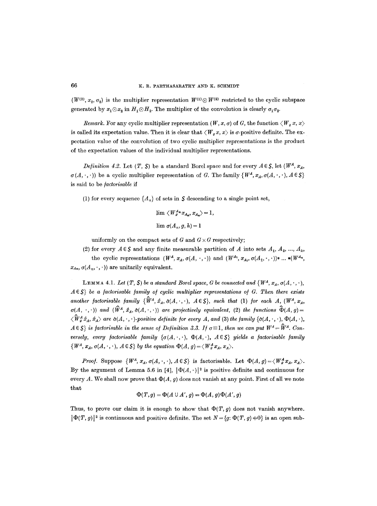$(W^{(2)}, x_2, \sigma_2)$  is the multiplier representation  $W^{(1)} \otimes W^{(2)}$  restricted to the cyclic subspace generated by  $x_1 \otimes x_2$  in  $H_1 \otimes H_2$ . The multiplier of the convolution is clearly  $\sigma_1 \sigma_2$ .

*Remark.* For any cyclic multiplier representation  $(W, x, \sigma)$  of G, the function  $\langle W_{\sigma} x, x \rangle$ is called its expectation value. Then it is clear that  $\langle W_a x, x \rangle$  is  $\sigma$ -positive definite. The expectation value of the convolution of two cyclic multiplier representations is the product of the expectation values of the individual multiplier representations.

*Definition 4.2.* Let  $(T, S)$  be a standard Borel space and for every  $A \in S$ , let  $(W^A, x_A, \ldots, x_B)$  $\sigma(A, \cdot, \cdot)$  be a cyclic multiplier representation of G. The family  $\{W^A, x_A, \sigma(A, \cdot, \cdot), A \in \mathcal{S}\}\$ is said to be *factorisable* if

(1) for every sequence  ${A_n}$  of sets in S descending to a single point set,

$$
\begin{array}{l} \lim \ \left\langle \!\!{\,}^{\mathop{}\limits_{}}_{\mathop{}\limits^{}}\right. W^{\ A_n}_{{\mathop{}\limits^{}}^{\mathop{}\limits_{}}\mathop{}\limits^{}}\right. x_{A_n}, \, x_{A_n} \rangle \! = \! 1, \\[1.5mm] \lim \ _{\sigma \left\langle \!\!{\,}^{\mathop{}\limits_{}}_{\mathop{}\limits^{}}\right. A_n, \, g, \, h \left. \!\!{\,}^{\mathop{}\limits_{}}_{\mathop{}\limits^{}}\right. \left. \!\!{\,}^{\mathop{}\limits_{}}_{\mathop{}\limits^{}}\right. \left. \!\!{\,}^{\mathop{}\limits_{}}_{\mathop{}\limits^{}}\right. \left. \!\!{\,}^{\mathop{}\limits_{}}_{\mathop{}\limits^{}}\right) \mathop=\limits_{\mathop{}\limits^{}} 1, \end{array}
$$

uniformly on the compact sets of G and  $G \times G$  respectively;

(2) for every  $A \in \mathcal{S}$  and any finite measurable partition of A into sets  $A_1, A_2, ..., A_k$ , the cyclic representations  $(W^A, x_A, \sigma(A, \cdot, \cdot))$  and  $(W^{A_1}, x_{A_1}, \sigma(A_1, \cdot, \cdot))$ \*...\* $(W^{A_n},$  $x_{An}, \sigma(A_n, \cdot, \cdot)$  are unitarily equivalent.

**LEMMA 4.1.** *Let*  $(T, S)$  *be a standard Borel space, G be connected and*  $\{W^A, x_A, \sigma(A, \cdot, \cdot, \cdot)\}$  $A \in \mathcal{S}$  *be a factorisable family of cyclic multiplier representations of G. Then there exists another factorisable family*  ${\hat{W}}^A$ *,*  $\hat{x}_A$ *,*  $\hat{\sigma}(A, \cdot, \cdot)$ *,*  $A \in S$ *, such that (1) for each A, (W<sup>A</sup>,*  $x_A$ *,*  $(\sigma(A,\cdot,\cdot))$  and  $(\hat{W}^A, \hat{x}_A, \hat{\sigma}(A,\cdot,\cdot))$  are projectively equivalent, (2) the functions  $\hat{\Phi}(A, g)$  =  $\langle \hat{W}_{\sigma}^A \hat{x}_A, \hat{x}_A \rangle$  are  $\hat{\sigma}(A, \cdot, \cdot)$ -positive definite for every A, and (3) the family  $\{\hat{\sigma}(A, \cdot, \cdot), \Phi(A, \cdot)\}$  $A \in S$  *is factorisable in the sense of Definition 3.3. If*  $\sigma = 1$ *, then we can put*  $W^A = \hat{W}^A$ *. Conversely, every factorisable family*  $\{\sigma(A, \cdot, \cdot), \Phi(A, \cdot), A \in S\}$  *yields a factorisable family*  $\{W^A, x_A, \sigma(A, \cdot, \cdot), A \in \mathcal{S}\}\$  by the equation  $\Phi(A, g) = \langle W^A_g x_A, x_A \rangle$ .

*Proof.* Suppose  $\{W^A, x_A, \sigma(A, \cdot, \cdot), A \in S\}$  is factorisable. Let  $\Phi(A, g) = \langle W^A_{g} x_A, x_A \rangle$ . By the argument of Lemma 5.6 in [4],  $|\Phi(A, \cdot)|^2$  is positive definite and continuous for every A. We shall now prove that  $\Phi(A, g)$  does not vanish at any point. First of all we note that

$$
\Phi(T,g) = \Phi(A \cup A', g) = \Phi(A, g)\Phi(A', g)
$$

Thus, to prove our claim it is enough to show that  $\Phi(T, g)$  does not vanish anywhere.  $|\Phi(T, g)|^2$  is continuous and positive definite. The set  $N = \{g: \Phi(T, g) \neq 0\}$  is an open sub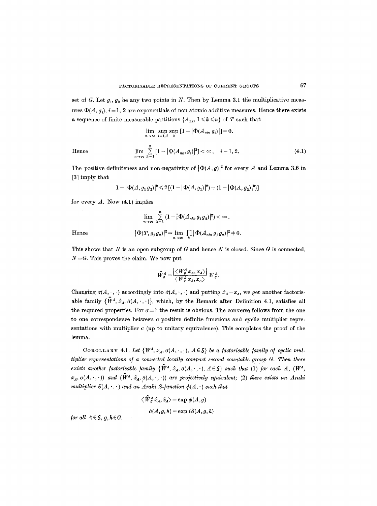set of G. Let  $g_1, g_2$  be any two points in N. Then by Lemma 3.1 the multiplicative measures  $\Phi(A, g_i)$ ,  $i = 1, 2$  are exponentials of non atomic additive measures. Hence there exists a sequence of finite measurable partitions  $\{A_{nk}, 1 \leq k \leq n\}$  of T such that

Hence 
$$
\lim_{n \to \infty} \sup_{i=1,2} \sup_{k} [1 - |\Phi(A_{nk}, g_i)|] = 0.
$$
  
\n
$$
\lim_{n \to \infty} \sum_{k=1}^{n} [1 - |\Phi(A_{nk}, g_i)|^2] < \infty, \quad i = 1, 2.
$$
 (4.1)

The positive definiteness and non-negativity of 
$$
|\Phi(A, g)|^2
$$
 for every A and Lemma 3.6 in [3] imply that

$$
1-|\Phi(A,g_1g_2)|^2\leqslant 2\left[(1-|\Phi(A,g_1)|^2)+(1-|\Phi(A,g_2)|^2)\right]
$$

for every  $A$ . Now  $(4.1)$  implies

Hence  
\n
$$
\lim_{n \to \infty} \sum_{k=1}^{n} (1 - |\Phi(A_{nk}, g_1 g_2)|^2) < \infty.
$$
\n
$$
|\Phi(T, g_1 g_2)|^2 = \lim_{n \to \infty} \prod_{k} |\Phi(A_{nk}, g_1 g_2)|^2 + 0.
$$

This shows that N is an open subgroup of G and hence N is closed. Since  $G$  is connected,  $N = G$ . This proves the claim. We now put

$$
\widehat{W}_{g}^{A} = \frac{\left| \left\langle \, W_{g}^{A} \, x_{A}, \, x_{A} \right\rangle \right|}{\left\langle \, W_{g}^{A} \, x_{A}, \, x_{A} \right\rangle} \, W_{g}^{A}.
$$

Changing  $\sigma(A, \cdot, \cdot)$  accordingly into  $\hat{\sigma}(A, \cdot, \cdot)$  and putting  $\hat{x}_A = x_A$ , we get another factorisable family  $\{\hat{W}^A, \hat{x}_A, \hat{\sigma}(A, \cdot, \cdot)\}\$ , which, by the Remark after Definition 4.1, satisfies all the required properties. For  $\sigma \equiv 1$  the result is obvious. The converse follows from the one to one correspondence between a-positive definite functions and cyclic multiplier representations with multiplier  $\sigma$  (up to unitary equivalence). This completes the proof of the lemma.

COROLLARY 4.1. Let  $\{W^A, x_A, \sigma(A, \cdot, \cdot), A \in \mathcal{S}\}\$ be a factorisable family of cyclic mul*tiplier representations of a connected locally compact second countable group G. Then there exists another factorisable family*  ${\hat{W}^A, \hat{x}_A, \hat{\sigma}(A, \cdot, \cdot), A \in S}$  *such that* (1) *for each A,* ( $W^A$ ,  $(x_A, \sigma(A, \cdot, \cdot))$  and  $(\hat{W}^A, \hat{x}_A, \hat{\sigma}(A, \cdot, \cdot))$  are projectively equivalent; (2) there exists an Araki *multiplier*  $S(A, \cdot, \cdot)$  *and an Araki S-function*  $\phi(A, \cdot)$  *such that* 

$$
\begin{aligned} \langle \, \widehat{W}^A_g \, \hat{x}_A , \hat{x}_A \rangle \!= & \exp \, \phi(A,g) \\ \hat{\sigma}(A,g,h) \!= & \exp \, iS(A,g,h) \end{aligned}
$$

*<i>for all*  $A \in S$ *, g, h*  $\in G$ *.*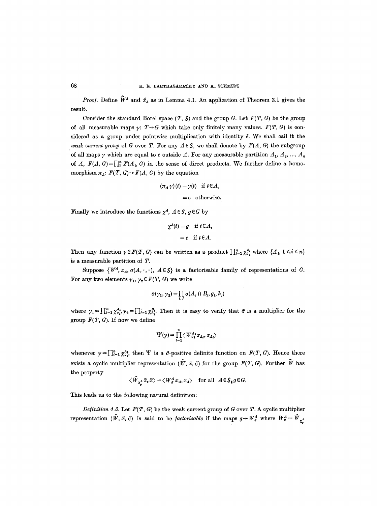### 68 K.R. PARTHASARATHY AND K. SCHMIDT

*Proof.* Define  $\hat{W}^A$  and  $\hat{x}_A$  as in Lemma 4.1. An application of Theorem 3.1 gives the result.

Consider the standard Borel space  $(T, S)$  and the group G. Let  $F(T, G)$  be the group of all measurable maps  $\gamma: T \rightarrow G$  which take only finitely many values.  $F(T, G)$  is considered as a group under pointwise multiplication with identity  $\tilde{e}$ . We shall call it the *weak current group* of G over T. For any  $A \in S$ , we shall denote by  $F(A, G)$  the subgroup of all maps  $\gamma$  which are equal to e outside A. For any measurable partition  $A_1, A_2, ..., A_n$ of *A,*  $F(A, G) = \prod_{i=1}^{n} F(A_i, G)$  in the sense of direct products. We further define a homomorphism  $\pi_A$ :  $F(T, G) \rightarrow F(A, G)$  by the equation

$$
(\pi_A \gamma)(t) = \gamma(t) \text{ if } t \in A,
$$
  
= e otherwise.

Finally we introduce the functions  $\chi^A$ ,  $A \in \mathcal{S}$ ,  $g \in G$  by

$$
\chi^A(t) = g \quad \text{if } t \in A,
$$
  
= e \quad \text{if } t \in A.

Then any function  $\gamma \in F(T, G)$  can be written as a product  $\prod_{i=1}^n \chi_{g_i}^{A_i}$  where  $\{A_i, 1 \leq i \leq n\}$ is a measurable partition of T.

Suppose  $\{W^A, x_A, \sigma(A, \cdot, \cdot), A \in \mathcal{S}\}\$ is a factorisable family of representations of G. For any two elements  $\gamma_1$ ,  $\gamma_2 \in F(T, G)$  we write

$$
\tilde{\sigma}(\gamma_1, \gamma_2) = \prod_{i,j} \sigma(A_i \cap B_j, g_i, h_j)
$$

where  $\gamma_1 = \prod_{i=1}^m \chi_{q_i}^{A_i}, \gamma_2 = \prod_{j=1}^n \chi_{h_i}^{B_j}$ . Then it is easy to verify that  $\tilde{\sigma}$  is a multiplier for the group  $F(T, G)$ . If now we define

$$
\Psi(\gamma) = \prod_{i=1}^n \langle W_{g_i}^{A_i} x_{A_i}, x_{A_i} \rangle
$$

whenever  $\gamma = \prod_{i=1}^n \chi_{\sigma_i}^{A_i}$ , then Y is a  $\tilde{\sigma}$ -positive definite function on  $F(T, G)$ . Hence there exists a cyclic multiplier representation  $(\tilde{W}, \tilde{x}, \tilde{\sigma})$  for the group  $F(T, G)$ . Further  $\tilde{W}$  has the property

$$
\langle \tilde{W}_{\chi^A} \tilde{x}, \tilde{x} \rangle = \langle W_g^A x_A, x_A \rangle \quad \text{for all} \ \ A \in \mathcal{S}_{\tilde{g}} g \in G.
$$

This leads us to the following natural definition:

*Definition 4.3.* Let  $F(T, G)$  be the weak current group of G over T. A cyclic multiplier representation ( $\tilde{W}$ ,  $\tilde{x}$ ,  $\tilde{\sigma}$ ) is said to be *factorisable* if the maps  $g \to W^A_g$  where  $W^A_g = \tilde{W}^A_{\chi_g}$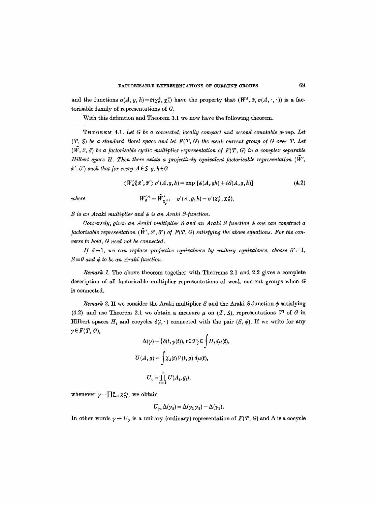and the functions  $\sigma(A, g, h) = \hat{\sigma}(\chi^A_g, \chi^A_h)$  have the property that  $(W^A, \tilde{x}, \sigma(A, \cdot, \cdot))$  is a factorisable family of representations of G.

With this definition and Theorem 3.1 we now have the following theorem.

THEOREM 4.1. Let G be a connected, locally compact and second countable group. Let  $(T, S)$  be a standard Borel space and let  $F(T, G)$  the weak current group of  $G$  over  $T$ . Let  $(\tilde{W}, \tilde{x}, \tilde{\sigma})$  be a factorisable cyclic multiplier representation of  $F(T, G)$  in a complex separable *Hilbert space H. Then there exists a projectively equivalent factorisable representation*  $(\vec{W}',\vec{W}')$  $\tilde{x}', \tilde{\sigma}'$  such that for every  $A \in S$ ,  $g, h \in G$ 

$$
\langle W'_{gh}^{\ A}x';\tilde{x}'\rangle \sigma'(A,g,h)=\exp\left[\phi(A,gh)+iS(A,g,h)\right]
$$
\n(4.2)

where 
$$
W'_g{}^A = \tilde{W}'_{\chi^A_g}
$$
,  $\sigma'(A, g, h) = \tilde{\sigma}'(\chi^A_g, \chi^A_h)$ 

 $S$  is an Araki multiplier and  $\phi$  is an Araki S-function.

*Conversely, given an Araki multiplier S and an Araki S-function*  $\phi$  *one can construct a factorisable representation*  $(\tilde{W}', \tilde{x}', \tilde{\sigma}')$  *of*  $F(T, G)$  *satisfying the above equations. For the converse to hold, G need not be connected.* 

*If*  $\tilde{\sigma} = 1$ , *we can replace projective equivalence by unitary equivalence, choose*  $\tilde{\sigma}' \equiv 1$ ,  $S \equiv 0$  and  $\phi$  to be an Araki function.

*Remark 1.* The above theorem together with Theorems 2.1 and 2,2 gives a complete description of all faetorisable multiplier representations of weak current groups when G is connected.

*Remark 2.* If we consider the Araki multiplier S and the Araki S-function  $\phi$  satisfying (4.2) and use Theorem 2.1 we obtain a measure  $\mu$  on (T, S), representations  $V^t$  of G in Hilbert spaces  $H_t$  and cocycles  $\delta(t,\cdot)$  connected with the pair  $(S, \phi)$ . If we write for any  $\gamma \in F(T, G),$ 

$$
\Delta(\gamma) = \{\delta(t, \gamma(t)), t \in T\} \in \int H_t d\mu(t),
$$
  

$$
U(A, g) = \int \chi_A(t) V(t, g) d\mu(t),
$$
  

$$
U_{\gamma} = \prod_{i=1}^n U(A_i, g_i),
$$

whenever  $\gamma = \prod_{i=1}^n \chi_{g_i}^{A_i}$ , we obtain

$$
U_{\gamma_1}\Delta(\gamma_2) = \Delta(\gamma_1\gamma_2) - \Delta(\gamma_1).
$$

In other words  $\gamma \to U_{\gamma}$  is a unitary (ordinary) representation of  $F(T, G)$  and  $\Delta$  is a cocyclo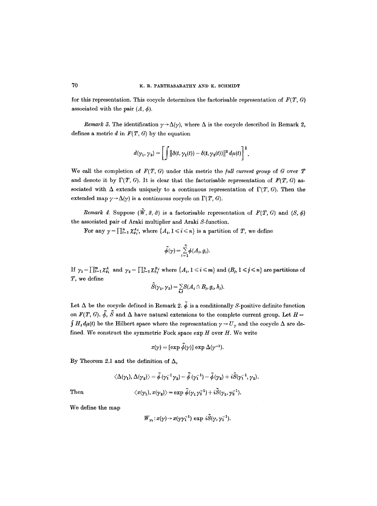for this representation. This cocycle determines the factorisable representation of  $F(T, G)$ associated with the pair  $(A, \phi)$ .

*Remark 3.* The identification  $\gamma \rightarrow \Delta(\gamma)$ , where  $\Delta$  is the cocycle described in Remark 2, defines a metric  $d$  in  $F(T, G)$  by the equation

$$
d(\gamma_1, \gamma_2) = \left[ \int \left\| \delta(t, \gamma_1(t)) - \delta(t, \gamma_2(t)) \right\|^2 d\mu(t) \right]^{\frac{1}{2}}.
$$

We call the completion of  $F(T, G)$  under this metric the *full current group* of G over T and denote it by  $\Gamma(T, G)$ . It is clear that the factorisable representation of  $F(T, G)$  associated with  $\Delta$  extends uniquely to a continuous representation of  $\Gamma(T, G)$ . Then the extended map  $\gamma \rightarrow \Delta(\gamma)$  is a continuous cocycle on  $\Gamma(T, G)$ .

*Remark 4.* Suppose  $(\tilde{W}, \tilde{x}, \tilde{\sigma})$  is a factorisable representation of  $F(T, G)$  and  $(S, \phi)$ the associated pair of Araki multiplier and Araki S-function.

For any  $\gamma = \prod_{i=1}^n \chi_{g_i}^{A_i}$ , where  $\{A_i, 1 \leq i \leq n\}$  is a partition of T, we define

$$
\widetilde{\phi}(\gamma) = \sum_{i=1}^n \phi(A_i, g_i).
$$

If  $\gamma_1 = \prod_{i=1}^m \chi_{g_i}^A$  and  $\gamma_2 = \prod_{i=1}^n \chi_{h_j}^B$  where  $\{A_i, 1 \leqslant i \leqslant m\}$  and  $(B_j, 1 \leqslant j \leqslant n)$  are partitions of T, we define

$$
\widetilde{S}(\gamma_1, \gamma_2) = \sum_{i,j} S(A_i \cap B_j, g_i, h_j).
$$

Let  $\Delta$  be the cocycle defined in Remark 2.  $\tilde{\phi}$  is a conditionally S-positive definite function on  $F(T, G)$ .  $\tilde{\phi}$ ,  $\tilde{S}$  and  $\Delta$  have natural extensions to the complete current group. Let  $H =$  $\int H_t d\mu(t)$  be the Hilbert space where the representation  $\gamma \to U_{\gamma}$  and the cocycle  $\Delta$  are defined. We construct the symmetric Fock space  $\exp H$  over  $H$ . We write

$$
x(\gamma) = [\exp \phi(\gamma)] \exp \Delta(\gamma^{-1}).
$$

By Theorem 2.1 and the definition of  $\Delta$ ,

$$
\begin{array}{c} \left\langle \Delta(\gamma_1),\Delta(\gamma_2)\right\rangle=\tilde{\phi}\left(\gamma_1^{-1}\gamma_2\right)-\tilde{\phi}\left(\gamma_1^{-1}\right)-\tilde{\phi}\left(\gamma_2\right)+i\tilde{S}(\gamma_1^{-1},\gamma_2).\\ \\ \left\langle x(\gamma_1),x(\gamma_2)\right\rangle=\exp\,\tilde{\phi}(\gamma_1\gamma_2^{-1})+i\tilde{S}(\gamma_1,\gamma_2^{-1}). \end{array}
$$

Then

$$
f_{\rm{max}}
$$

We define the map

$$
W_{\gamma_1}: x(\gamma) \to x(\gamma \gamma_1^{-1}) \text{ exp } i\tilde{S}(\gamma, \gamma_1^{-1}).
$$